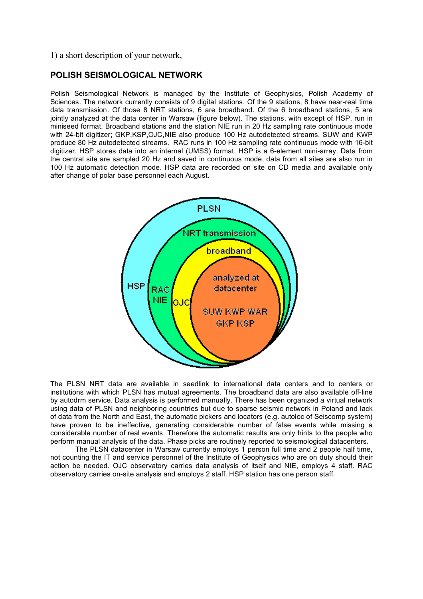1) a short description of your network,

## **POLISH SEISMOLOGICAL NETWORK**

Polish Seismological Network is managed by the Institute of Geophysics, Polish Academy of Sciences. The network currently consists of 9 digital stations. Of the 9 stations, 8 have near-real time data transmission. Of those 8 NRT stations, 6 are broadband. Of the 6 broadband stations, 5 are jointly analyzed at the data center in Warsaw (figure below). The stations, with except of HSP, run in miniseed format. Broadband stations and the station NIE run in 20 Hz sampling rate continuous mode with 24-bit digitizer; GKP,KSP,OJC,NIE also produce 100 Hz autodetected streams. SUW and KWP produce 80 Hz autodetected streams. RAC runs in 100 Hz sampling rate continuous mode with 16-bit digitizer. HSP stores data into an internal (UMSS) format. HSP is a 6-element mini-array. Data from the central site are sampled 20 Hz and saved in continuous mode, data from all sites are also run in 100 Hz automatic detection mode. HSP data are recorded on site on CD media and available only after change of polar base personnel each August.



The PLSN NRT data are available in seedlink to international data centers and to centers or institutions with which PLSN has mutual agreements. The broadband data are also available off-line by autodrm service. Data analysis is performed manually. There has been organized a virtual network using data of PLSN and neighboring countries but due to sparse seismic network in Poland and lack of data from the North and East, the automatic pickers and locators (e.g. autoloc of Seiscomp system) have proven to be ineffective, generating considerable number of false events while missing a considerable number of real events. Therefore the automatic results are only hints to the people who perform manual analysis of the data. Phase picks are routinely reported to seismological datacenters.

The PLSN datacenter in Warsaw currently employs 1 person full time and 2 people half time, not counting the IT and service personnel of the Institute of Geophysics who are on duty should their action be needed. OJC observatory carries data analysis of itself and NIE, employs 4 staff. RAC observatory carries on-site analysis and employs 2 staff. HSP station has one person staff.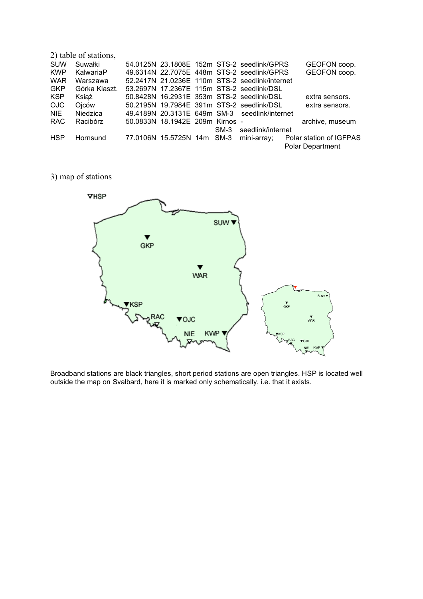| 2) table of stations, |                 |  |                                 |  |        |                                                |  |                         |
|-----------------------|-----------------|--|---------------------------------|--|--------|------------------------------------------------|--|-------------------------|
| <b>SUW</b>            | Suwałki         |  |                                 |  |        | 54.0125N 23.1808E 152m STS-2 seedlink/GPRS     |  | GEOFON coop.            |
| <b>KWP</b>            | KalwariaP       |  |                                 |  |        | 49.6314N 22.7075E 448m STS-2 seedlink/GPRS     |  | GEOFON coop.            |
| <b>WAR</b>            | Warszawa        |  |                                 |  |        | 52.2417N 21.0236E 110m STS-2 seedlink/internet |  |                         |
| <b>GKP</b>            | Górka Klaszt.   |  |                                 |  |        | 53.2697N 17.2367E 115m STS-2 seedlink/DSL      |  |                         |
| <b>KSP</b>            | Książ           |  |                                 |  |        | 50.8428N 16.2931E 353m STS-2 seedlink/DSL      |  | extra sensors.          |
| OJC.                  | Ojców           |  |                                 |  |        | 50.2195N 19.7984E 391m STS-2 seedlink/DSL      |  | extra sensors.          |
| NIE.                  | <b>Niedzica</b> |  |                                 |  |        | 49.4189N 20.3131E 649m SM-3 seedlink/internet  |  |                         |
| <b>RAC</b>            | Racibórz        |  | 50.0833N 18.1942E 209m Kirnos - |  |        |                                                |  | archive, museum         |
|                       |                 |  |                                 |  | $SM-3$ | seedlink/internet                              |  |                         |
| <b>HSP</b>            | Hornsund        |  | 77.0106N 15.5725N 14m SM-3      |  |        | mini-array;                                    |  | Polar station of IGFPAS |
|                       |                 |  |                                 |  |        |                                                |  | <b>Polar Department</b> |

3) map of stations



Broadband stations are black triangles, short period stations are open triangles. HSP is located well outside the map on Svalbard, here it is marked only schematically, i.e. that it exists.